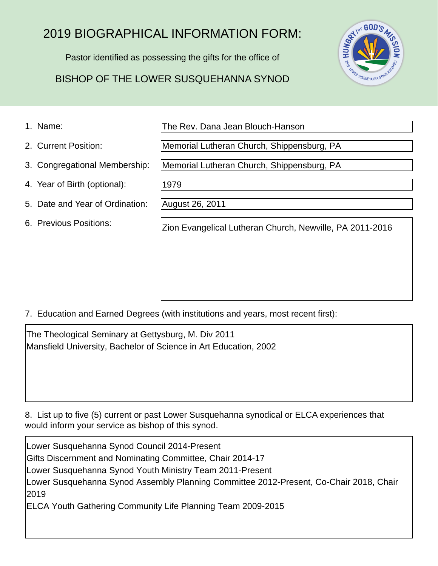# 2019 BIOGRAPHICAL INFORMATION FORM:

Pastor identified as possessing the gifts for the office of

## BISHOP OF THE LOWER SUSQUEHANNA SYNOD



1. Name:

The Rev. Dana Jean Blouch-Hanson

Memorial Lutheran Church, Shippensburg, PA

Memorial Lutheran Church, Shippensburg, PA

2. Current Position:

- 3. Congregational Membership:
- 4. Year of Birth (optional):
- 5. Date and Year of Ordination:
- 6. Previous Positions:

1979

August 26, 2011

Zion Evangelical Lutheran Church, Newville, PA 2011-2016

7. Education and Earned Degrees (with institutions and years, most recent first):

The Theological Seminary at Gettysburg, M. Div 2011 Mansfield University, Bachelor of Science in Art Education, 2002

8. List up to five (5) current or past Lower Susquehanna synodical or ELCA experiences that would inform your service as bishop of this synod.

Lower Susquehanna Synod Council 2014-Present Gifts Discernment and Nominating Committee, Chair 2014-17 Lower Susquehanna Synod Youth Ministry Team 2011-Present Lower Susquehanna Synod Assembly Planning Committee 2012-Present, Co-Chair 2018, Chair 2019 ELCA Youth Gathering Community Life Planning Team 2009-2015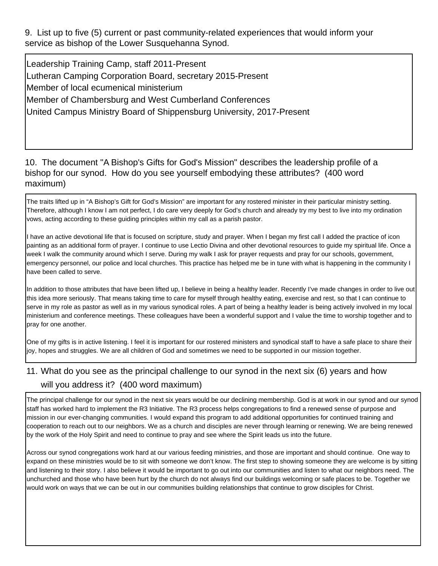9. List up to five (5) current or past community-related experiences that would inform your service as bishop of the Lower Susquehanna Synod.

Leadership Training Camp, staff 2011-Present Lutheran Camping Corporation Board, secretary 2015-Present Member of local ecumenical ministerium Member of Chambersburg and West Cumberland Conferences United Campus Ministry Board of Shippensburg University, 2017-Present

#### 10. The document "A Bishop's Gifts for God's Mission" describes the leadership profile of a bishop for our synod. How do you see yourself embodying these attributes? (400 word maximum)

The traits lifted up in "A Bishop's Gift for God's Mission" are important for any rostered minister in their particular ministry setting. Therefore, although I know I am not perfect, I do care very deeply for God's church and already try my best to live into my ordination vows, acting according to these guiding principles within my call as a parish pastor.

I have an active devotional life that is focused on scripture, study and prayer. When I began my first call I added the practice of icon painting as an additional form of prayer. I continue to use Lectio Divina and other devotional resources to guide my spiritual life. Once a week I walk the community around which I serve. During my walk I ask for prayer requests and pray for our schools, government, emergency personnel, our police and local churches. This practice has helped me be in tune with what is happening in the community I have been called to serve.

In addition to those attributes that have been lifted up, I believe in being a healthy leader. Recently I've made changes in order to live out this idea more seriously. That means taking time to care for myself through healthy eating, exercise and rest, so that I can continue to serve in my role as pastor as well as in my various synodical roles. A part of being a healthy leader is being actively involved in my local ministerium and conference meetings. These colleagues have been a wonderful support and I value the time to worship together and to pray for one another.

One of my gifts is in active listening. I feel it is important for our rostered ministers and synodical staff to have a safe place to share their joy, hopes and struggles. We are all children of God and sometimes we need to be supported in our mission together.

### 11. What do you see as the principal challenge to our synod in the next six (6) years and how will you address it? (400 word maximum)

The principal challenge for our synod in the next six years would be our declining membership. God is at work in our synod and our synod staff has worked hard to implement the R3 Initiative. The R3 process helps congregations to find a renewed sense of purpose and mission in our ever-changing communities. I would expand this program to add additional opportunities for continued training and cooperation to reach out to our neighbors. We as a church and disciples are never through learning or renewing. We are being renewed by the work of the Holy Spirit and need to continue to pray and see where the Spirit leads us into the future.

Across our synod congregations work hard at our various feeding ministries, and those are important and should continue. One way to expand on these ministries would be to sit with someone we don't know. The first step to showing someone they are welcome is by sitting and listening to their story. I also believe it would be important to go out into our communities and listen to what our neighbors need. The unchurched and those who have been hurt by the church do not always find our buildings welcoming or safe places to be. Together we would work on ways that we can be out in our communities building relationships that continue to grow disciples for Christ.